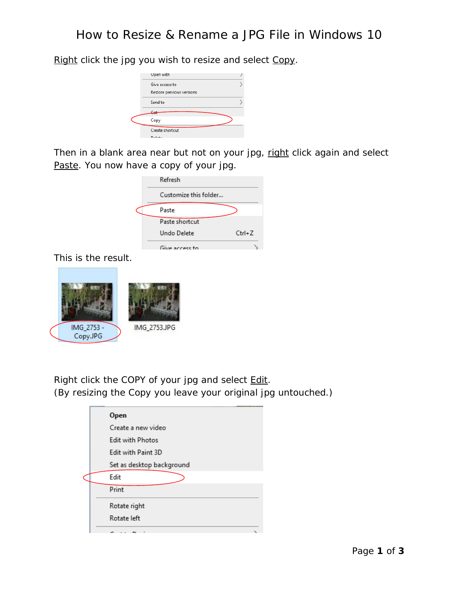Upen with  $\overline{\phantom{0}}$ Give access to Restore previous versions Send to  $C_{\rm tot}$ Copy Create shortcut Dolote

Right click the jpg you wish to resize and select Copy.

Then in a blank area near but not on your jpg, right click again and select Paste. You now have a copy of your jpg.

|  | Refresh               |          |
|--|-----------------------|----------|
|  | Customize this folder |          |
|  | Paste                 |          |
|  | Paste shortcut        |          |
|  | Undo Delete           | $Ctrl+Z$ |
|  | Give access to        |          |

This is the result.



Right click the COPY of your jpg and select Edit. (By resizing the Copy you leave your original jpg untouched.)

| Open                      |
|---------------------------|
| Create a new video        |
| Edit with Photos          |
| Edit with Paint 3D        |
| Set as desktop background |
| Edit                      |
| Print                     |
| Rotate right              |
| Rotate left               |
| - - - -                   |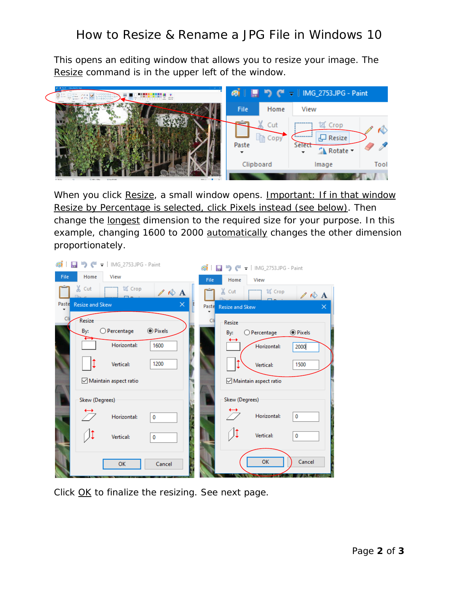## How to Resize & Rename a JPG File in Windows 10

This opens an editing window that allows you to resize your image. The Resize command is in the upper left of the window.



When you click Resize, a small window opens. Important: If in that window Resize by Percentage is selected, click Pixels instead (see below). Then change the longest dimension to the required size for your purpose. In this example, changing 1600 to 2000 automatically changes the other dimension proportionately.



Click OK to finalize the resizing. See next page.